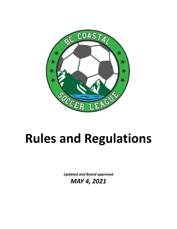

# **Rules and Regulations**

*Updated and Board approved*

*MAY 4, 2021*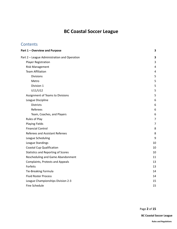# **BC Coastal Soccer League**

# **Contents**

| Part 1 - Overview and Purpose                | 3              |
|----------------------------------------------|----------------|
| Part 2 - League Administration and Operation | 3              |
| <b>Player Registration</b>                   | 3              |
| <b>Risk Management</b>                       | 4              |
| <b>Team Affiliation</b>                      | 4              |
| <b>Divisions</b>                             | 5              |
| Metro                                        | 5              |
| Division 1                                   | 5              |
| U11/U12                                      | 5              |
| Assignment of Teams to Divisions             | 5              |
| League Discipline                            | 6              |
| <b>Districts</b>                             | 6              |
| Referees                                     | 6              |
| Team, Coaches, and Players                   | 6              |
| Rules of Play                                | $\overline{7}$ |
| <b>Playing Fields</b>                        | $\overline{7}$ |
| <b>Financial Control</b>                     | 8              |
| Referees and Assistant Referees              | 8              |
| League Scheduling                            | 9              |
| League Standings                             | 10             |
| <b>Coastal Cup Qualification</b>             | 10             |
| <b>Statistics and Reporting of Scores</b>    | 10             |
| Rescheduling and Game Abandonment            | 11             |
| <b>Complaints, Protests and Appeals</b>      | 13             |
| Forfeits                                     | 13             |
| Tie-Breaking Formula                         | 14             |
| <b>Fluid Roster Process</b>                  | 14             |
| League Championships Division 2-3            | 15             |
| <b>Fine Schedule</b>                         | 15             |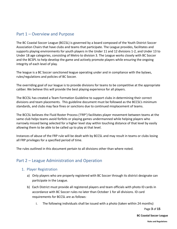# <span id="page-2-0"></span>Part 1 – Overview and Purpose

The BC Coastal Soccer League (BCCSL) is governed by a board composed of the Youth District Soccer Association Chairs that have clubs and teams that participate. The League provides, facilitates and supports playing environments for youth players in the Under 11 and 12 divisions 1-2, and Under 13 to Under 18 age categories, consisting of Metro to division 3. The League works closely with BC Soccer and the BCSPL to help develop the game and actively promote players while ensuring the ongoing integrity of each level of play.

The league is a BC Soccer sanctioned league operating under and in compliance with the bylaws, rules/regulations and policies of BC Soccer.

The overriding goal of our league is to provide divisions for teams to be competitive at the appropriate caliber. We believe this will provide the best playing experience for all players.

The BCCSL has created a Team Formation Guideline to support clubs in determining their correct divisions and team placements. This guideline document must be followed as the BCCSL's minimum standards, and clubs may face fines or sanctions due to continued misplacement of teams.

The BCCSL believes the Fluid Roster Process ('FRP') facilitates player movement between teams at the same club helps teams avoid forfeits or playing games undermanned while helping players who narrowly missed being selected for a higher level stay within touching distance of that level by easily allowing them to be able to be called up to play at that level.

Instances of abuse of the FRP rule will be dealt with by BCCSL and may result in teams or clubs losing all FRP privileges for a specified period of time.

<span id="page-2-1"></span>The rules outlined in this document pertain to all divisions other than where noted.

# <span id="page-2-2"></span>Part 2 – League Administration and Operation

#### 1. Player Registration

- a) Only players who are properly registered with BC Soccer through its district designate can participate in the League.
- b) Each District must provide all registered players and team officials with photo ID cards in accordance with BC Soccer rules no later than October 1 for all divisions. ID card requirements for BCCSL are as follows:
	- i. The following individuals shall be issued with a photo (taken within 24 months)

Page **3** of **15**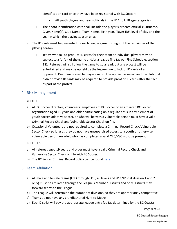identification card once they have been registered with BC Soccer:

- All youth players and team officials in the U11 to U18 age categories
- ii. The photo identification card shall include the player's or team official's: Surname, Given Name(s), Club Name, Team Name, Birth year, Player ID#, level of play and the year in which the playing season ends.
- c) The ID cards must be presented for each league game throughout the remainder of the playing season.
	- i. Teams who fail to produce ID cards for their team or individual players may be subject to a forfeit of the game and/or a league fine (as per Fine Schedule, section 18). Referees will still allow the game to go ahead, but any protest will be entertained and may be upheld by the league due to lack of ID cards of an opponent. Discipline issued to players will still be applied as usual, and the club that didn't provide ID cards may be required to provide proof of ID cards after the fact as part of the protest.

#### <span id="page-3-0"></span>2. Risk Management

YOUTH

- a) All BC Soccer directors, volunteers, employees of BC Soccer or an affiliated BC Soccer organization aged 19 years and older participating on a regular basis in any element of youth soccer, adaptive soccer, or who will be with a vulnerable person must have a valid Criminal Record Check and Vulnerable Sector Check on file.
- b) Occasional Volunteers are not required to complete a Criminal Record Check/Vulnerable Sector Check so long as they do not have unsupervised access to a youth or otherwise vulnerable person. An adult who has completed a valid CRC/VSC must be present.

#### REFEREES

- a) All referees aged 19 years and older must have a valid Criminal Record Check and Vulnerable Sector Check on file with BC Soccer.
- b) The BC Soccer Criminal Record policy can be found [here](https://www.bcsoccer.net/files/AboutUs/BylawsRulesRegsPolicies/bc_soccer_criminal_record_check_policy_september_2020.pdf)

#### <span id="page-3-1"></span>3. Team Affiliation

- a) All male and female teams (U13 through U18, all levels and U11/U12 at division 1 and 2 only) must be affiliated through the League's Member Districts and only Districts may forward teams to the League.
- b) The League will determine the number of divisions, so they are appropriately competitive.
- c) Teams do not have any grandfathered right to Metro
- d) Each District will pay the appropriate league entry fee (as determined by the BC Coastal

Page **4** of **15**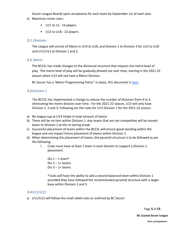Soccer League Board) upon acceptance for each team by September 1st of each year.

- e) Maximum roster sizes:
	- U11 to 12 16 players
	- U13 to U18 22 players

#### <span id="page-4-0"></span>*3.1 Divisions*

The League will consist of Metro in U14 to U18, and Division 1 to Division 3 for U13 to U18 and U11/U12 at Division 1 and 2.

#### <span id="page-4-1"></span>*3.2 Metro*

The BCCSL has made changes to the divisional structure that impacts the metro level of play. The metro level of play will be gradually phased out over time, starting in the 2021-22 season when U13 will not have a Metro Division.

BC Soccer has a 'Metro Programming Policy" in place, this document is [here](https://www.bcsoccer.net/files/AboutUs/BylawsRulesRegsPolicies/District%20Metro%20Select%20Program%20Policy_updateFeb2018.pdf)

#### <span id="page-4-2"></span>*3.3Division 1*

The BCCSL has implemented a change to reduce the number of divisions from 4 to 3, eliminating the metro division over time. For the 2021-22 season, U13 will only have Division 1, 2 and 3. Following are the rules for U13 Division 1 for the 2021-22 season.

- a) No league cap at U13 Intake in total amount of teams
- b) There will be no tiers within Division 1. Any teams that are not competitive will be moved down to Division 2 at the re-tiering break.
- c) Successful placement of teams within the BCCSL will ensure good standing within the league and not impact future placement of teams within Division 1.
- d) When determining the placement of teams, the pyramid structure is to be followed as per the following.
	- I. Clubs must have at least 1 team in each division to support a Division 1 placement:
		- Div  $1 1$  team\* Div  $2 - 1 +$  teams Div  $3 - 1 +$  teams

\*clubs will have the ability to add a second balanced team within Division 1 provided they have followed the recommended pyramid structure with a larger base within Division 2 and 3.

#### <span id="page-4-3"></span>*3.4U11/U12*

a) U11/U12 will follow the small sided rules as outlined by BC Soccer

Page **5** of **15**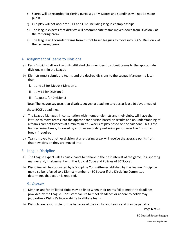- b) Scores will be recorded for tiering purposes only. Scores and standings will not be made public
- c) Cup play will not occur for U11 and U12, including league championships
- d) The league expects that districts will accommodate teams moved down from Division 2 at the re-tiering break
- e) The league will consider teams from district based leagues to move into BCCSL Division 2 at the re-tiering break

#### <span id="page-5-0"></span>4. Assignment of Teams to Divisions

- a) Each District shall work with its affiliated club members to submit teams to the appropriate divisions within the League
- b) Districts must submit the teams and the desired divisions to the League Manager no later than:
	- i. June 15 for Metro + Division 1
	- ii. July 15 for Division 2
	- iii. August 1 for Division 3

Note: The league suggests that districts suggest a deadline to clubs at least 10 days ahead of

these BCCSL deadlines.

- c) The League Manager, in consultation with member districts and their clubs, will have the latitude to move teams into the appropriate division based on results and an understanding of a team's competitiveness at a minimum of 5 weeks of play based on the calendar. This is the first re-tiering break, followed by another secondary re-tiering period over the Christmas break if required.
- d) Teams moved to another division at a re-tiering break will receive the average points from that new division they are moved into.

#### <span id="page-5-1"></span>5. League Discipline

- a) The League expects all its participants to behave in the best interest of the game, in a sporting manner and, in alignment with the Judicial Code and Policies of BC Soccer.
- b) Discipline will be conducted by a Discipline Committee established by the League. Discipline may also be referred to a District member or BC Soccer if the Discipline Committee determines that action is required.

#### <span id="page-5-2"></span>*5.1Districts*

- a) Districts and/or affiliated clubs may be fined when their teams fail to meet the deadlines provided by the League. Consistent failure to meet deadlines or adhere to policy may jeopardize a District's future ability to affiliate teams.
- b) Districts are responsible for the behavior of their clubs and teams and may be penalized

Page **6** of **15**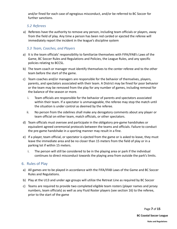and/or fined for each case of egregious misconduct, and/or be referred to BC Soccer for further sanctions.

#### <span id="page-6-0"></span>*5.2 Referees*

a) Referees have the authority to remove any person, including team officials or players, away from the field of play. Any time a person has been red carded or ejected the referee will immediately report the incident in the league's discipline system

#### <span id="page-6-1"></span>*5.3 Team, Coaches, and Players*

- a) It is the team officials' responsibility to familiarize themselves with FIFA/IFAB's Laws of the Game, BC Soccer Rules and Regulations and Policies, the League Rules, and any specific policies relating to BCCSL.
- b) The team coach or manager must identify themselves to the center referee and to the other team before the start of the game.
- c) Team coaches and/or managers are responsible for the behavior of themselves, players, parents, and spectators associated with their team. A District may be fined for poor behavior or the team may be removed from the play for any number of games, including removal for the balance of the season or more.
	- i. Team officials are responsible for the behavior of parents and spectators associated within their team. If a spectator is unmanageable, the referee may stop the match until the situation is under control as deemed by the referee.
	- ii. No person from the sidelines shall make any derogatory comments about any player or team official on either team, match officials, or other spectators.
- d) Team officials must oversee and participate in the obligatory pre-game handshakes or equivalent agreed ceremonial protocols between the teams and officials. Failure to conduct the pre-game handshake in a sporting manner may result in a fine.
- e) If a player, team official, or spectator is ejected from the game or is asked to leave, they must leave the immediate area and be no closer than 15 meters from the field of play or in a parking lot if within 15 meters.
	- i. The person will still be considered to be in the playing area or park if the individual continues to direct misconduct towards the playing area from outside the park's limits.

#### <span id="page-6-2"></span>6. Rules of Play

- a) All games are to be played in accordance with the FIFA/IFAB Laws of the Game and BC Soccer Rules and Regulations.
- b) Play at the U13 and under age groups will utilize the Retreat Line as required by BC Soccer
- c) Teams are required to provide two completed eligible team rosters (player names and jersey numbers, team officials) as well as any Fluid Roster players (see section 16) to the referee, prior to the start of the game

Page **7** of **15**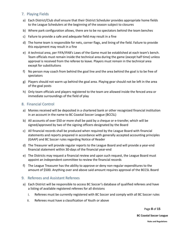#### <span id="page-7-0"></span>7. Playing Fields

- a) Each District/Club shall ensure that their District Scheduler provides appropriate home fields to the League Schedulers at the beginning of the season subject to closures
- b) Where park configuration allows, there are to be no spectators behind the team benches
- c) Failure to provide a safe and adequate field may result in a fine
- d) The home team is responsible for nets, corner flags, and lining of the field. Failure to provide this equipment may result in a fine
- e) A technical area, per FIFA/IFAB's Laws of the Game must be established at each team's bench. Team officials must remain inside the technical area during the game (except half time) unless approval is received from the referee to leave. Players must remain in the technical area except for substitutions
- f) No person may coach from behind the goal line and the area behind the goal is to be free of spectators
- g) Players should not warm up behind the goal area. Playing gear should not be left in the area of the goal posts
- h) Only team officials and players registered to the team are allowed inside the fenced area or immediate surroundings of the field of play

#### <span id="page-7-1"></span>8. Financial Control

- a) Monies received will be deposited in a chartered bank or other recognized financial institution in an account in the name to BC Coastal Soccer League (BCCSL)
- b) All accounts of over \$50 or more shall be paid by a cheque or e-transfer, which will be signed/approved by two of the signing officers designated by the Board
- c) All financial records shall be produced when required by the League Board with financial statements and reports prepared in accordance with generally accepted accounting principles (GAAP) and BC Soccer rules regarding Notice of Reader
- d) The Treasurer will provide regular reports to the League Board and will provide a year-end financial statement within 30-days of the financial year-end
- e) The Districts may request a financial review and upon such request, the League Board must appoint an independent committee to review the financial records
- f) The League Treasurer has the ability to approve or deny non-regular expenditures to the amount of \$500. Anything over and above said amount requires approval of the BCCSL Board

#### <span id="page-7-2"></span>9. Referees and Assistant Referees

- a) Each District will be responsible to access BC Soccer's database of qualified referees and have a listing of available registered referees for all divisions
	- i. Referees must be currently registered with BC Soccer and comply with all BC Soccer rules
	- ii. Referees must have a classification of Youth or above

Page **8** of **15**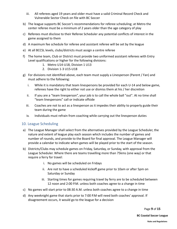- iii. All referees aged 19 years and older must have a valid Criminal Record Check and Vulnerable Sector Check on file with BC Soccer
- b) The league supports BC Soccer's recommendations for referee scheduling; at Metro the center referee must be a minimum of 2 years older than the age category of play
- c) Referees must disclose to their Referee Scheduler any potential conflicts of interest in the game assigned to them
- d) A maximum fee schedule for referee and assistant referee will be set by the league
- e) At all BCCSL levels, clubs/districts must assign a centre referee
- f) The home team, Club or District must provide two uniformed assistant referees with Entry Level qualifications or higher for the following divisions:
	- 1. Metro U14-U18, Division 1 U13
	- 2. Division 1-3 U15-U18
- g) For divisions not identified above, each team must supply a Linesperson (Parent / Fan) and must adhere to the following:
	- i. While it is mandatory that team linespersons be provided for each U-14 and below game, referees have the right to either not use or dismiss them at his / her discretion
	- ii. If you are a "team linesperson", your job is to call the whole ball "out". At no time shall "team linespersons" call or indicate offside
	- iii. Coaches are not to act as a linesperson as it impedes their ability to properly guide their team during the game
	- iv. Individuals must refrain from coaching while carrying out the linesperson duties

#### <span id="page-8-0"></span>10. League Scheduling

- a) The League Manager shall select from the alternatives provided by the League Scheduler, the nature and extent of league play each season which includes the number of games and number of rounds, and provide to the Board for final approval. The League Manager will provide a calendar to indicate when games will be played prior to the start of the season.
- b) Districts/Clubs may schedule games on Friday, Saturday, or Sunday, with approval from the League Scheduler. Where there are teams travelling more than 75kms (one way) or that require a ferry for travel:
	- i. No games will be scheduled on Fridays
	- ii. Are not to have a scheduled kickoff game prior to 10am or after 5pm on Saturday or Sunday
	- iii. Starting times for games requiring travel by ferry are to be scheduled between 12 noon and 2:00 P.M. unless both coaches agree to a change in time
- c) No games will start prior to 08:30 A.M. unless both coaches agree to a change in time
- d) Any weeknight game that starts prior to 7:00 P.M will need both coaches' approval. If disagreement occurs, it would go to the league for a decision

Page **9** of **15**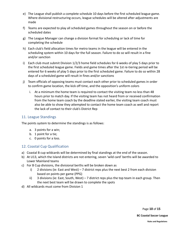- e) The League shall publish a complete schedule 10 days before the first scheduled league game. Where divisional restructuring occurs, league schedules will be altered after adjustments are made
- f) Teams are expected to play all scheduled games throughout the season on or before the scheduled dates
- g) The League Manager can change a division format for scheduling or lack of time for completing the schedule
- h) Each club's field allocation times for metro teams in the league will be entered in the scheduling system within 10 days for the full season. Failure to do so will result in a fine and/or sanction
- i) Each club must submit Division 1/2/3 home field schedules for 6 weeks of play 5 days prior to the first scheduled league game. Fields and game times after the 1st re-tiering period will be entered for 6 weeks of play 5 days prior to the first scheduled game. Failure to do so within 28 days of a scheduled game will result in fines and/or sanctions
- j) Team officials of opposing teams must contact each other prior to scheduled games in order to confirm game location, the kick off time, and the opposition's uniform colors
	- i. At a minimum the home team is required to contact the visiting team no less than 48 hours prior to match day. If the visiting team has not heard from or received confirmation from the home team coach by the deadline stated earlier, the visiting team coach must also be able to show they attempted to contact the home team coach as well and report the lack of contact to their club's District Rep

#### <span id="page-9-0"></span>11. League Standings

The points system to determine the standings is as follows:

- a. 3 points for a win;
- b. 1 point for a tie;
- c. 0 points for a loss.

#### <span id="page-9-1"></span>12. Coastal Cup Qualification

- a) Coastal B cup wildcards will be determined by final standings at the end of the season.
- b) At U13, which the Island districts are not entering, seven 'wild card' berths will be awarded to Lower Mainland teams
- c) For B Cup divisions, the divisional berths will be broken down as
	- i) 2 divisions (ie: East and West) 7 district reps plus the next best 2 from each division based on points per game (PPG)
	- ii) 3 divisions (ie: East, South, West) 7 district reps plus the top team in each group. Then the next best team will be drawn to complete the spots
- d) All wildcards must come from Division 1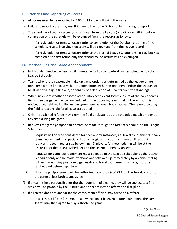#### <span id="page-10-0"></span>13. Statistics and Reporting of Scores

- a) All scores need to be reported by 9:00pm Monday following the game
- b) Failure to report scores may result in fine to the home District of team failing to report
- c) The standings of teams resigning or removed from the League (or a division within) before completion of the schedule will be expunged from the records as follows:
	- i. If a resignation or removal occurs prior to completion of the October re-tiering of the schedule, results involving that team will be expunged from the league record
	- ii. If a resignation or removal occurs prior to the start of League Championship play but has completed the first round only the second-round results will be expunged

#### <span id="page-10-1"></span>14. Rescheduling and Game Abandonment

- a) Notwithstanding below, teams will make an effort to complete all games scheduled by the League Scheduler
- b) Teams who refuse reasonable make-up game options as determined by the league or are non-compliant in finding a make-up game option with their opponent and/or the league, will be at risk of a league fine and/or penalty of a deduction of 3 points from the standings
- c) When inclement weather or some other unforeseen event forces closure of the home teams' fields then the game may be rescheduled on the opposing team's field if there is sufficient notice, time, field availability and an agreement between both coaches. The team providing the field is responsible for all costs associated
- d) Only the assigned referee may deem the field unplayable at the scheduled match time or at any time during the game
- e) Requests for game postponement must be made through the District scheduler to the League Scheduler
	- i. Requests will only be considered for special circumstances, i.e. travel tournaments, heavy team involvement in a special school or religious function, or injury or illness which reduces the team roster size below nine (9) players. Any rescheduling will be at the discretion of the League Scheduler and the League General Manager.
	- ii. Requests for game postponement must be made to the League Scheduler by the District Scheduler only and be made by phone and followed up immediately by an email stating full particulars. Any postponed games due to travel tournament conflicts, must be rescheduled before departure.
	- iii. No game postponement will be authorized later than 9:00 P.M. on the Tuesday prior to the game unless both teams agree
- f) If a team is held responsible for the abandonment of a game, they will be subject to a fine which will be payable by the District, and the team may be referred to discipline
- g) If a referee does not appear for the game, team officials may agree on a referee
	- i. In all cases a fifteen (15) minute allowance must be given before abandoning the game. Teams may then agree to play a shortened game

Page **11** of **15**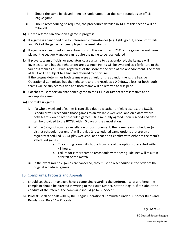- ii. Should the game be played, then it is understood that the game stands as an official league game
- iii. Should rescheduling be required, the procedures detailed in 14.e of this section will be followed
- h) Only a referee can abandon a game in progress
- i) If a game is abandoned due to unforeseen circumstances (e.g. lights go out, snow storm hits) and 75% of the game has been played the result stands
- j) If a game is abandoned as per subsection i of this section and 75% of the game has not been played, the League Manager can require the game to be rescheduled
- k) If players, team officials, or spectators cause a game to be abandoned, the League will investigate, and has the right to declare a winner. Points will be awarded as a forfeiture to the faultless team as a 1-0 win, regardless of the score at the time of the abandonment. The team at fault will be subject to a fine and referred to discipline. If the League determines both teams were at fault for the abandonment, the League Operational Committee has the right to record the result as a 0-0 draw, a loss for both, both teams will be subject to a fine and both teams will be referred to discipline
- l) Coaches must report an abandoned game to their Club or District representative as an incomplete game
- m) For make up games:
	- i. If a whole weekend of games is cancelled due to weather or field closures, the BCCSL Scheduler will reschedule those games to an available weekend, and on a date where both teams don't have scheduled games. Or, a mutually agreed upon rescheduled date can be provided to the BCCSL within 5 days of the cancellation.
	- ii. Within 5 days of a game cancellation or postponement, the home team's scheduler (or district scheduler designate) will provide 2 rescheduled game options that are on a regularly scheduled BCCSL play weekend, and that don't conflict with either of the team's scheduled games.
		- a) The visiting team will choose from one of the options presented within 48 hours.
		- b) Failure for either team to reschedule with these guidelines will result in a forfeit of the match.
	- iii. In the event multiple games are cancelled, they must be rescheduled in the order of the original scheduled games.

#### <span id="page-11-0"></span>15. Complaints, Protests and Appeals

- a) Should coaches or managers have a complaint regarding the performance of a referee, the complaint should be directed in writing to their own District, not the league. If it is about the conduct of the referee, the complaint should go to BC Soccer
- b) Protests shall be dealt with by the League Operational Committee under BC Soccer Rules and Regulations, Rule 11 – Protests

Page **12** of **15**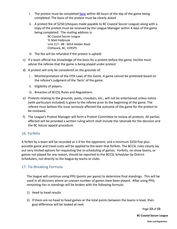- i. The protest must be completed [here](https://forms.gle/AMa3AGL1W6geaK889) within 48 hours of the day of the game being completed. The basis of the protest must be clearly stated
- ii. A protest fee of \$250 (cheques made payable to BC Coastal Soccer League) along with a copy of the protest must be received by the League Manager within 4 days of the game being completed. The mailing address is:

BC Coastal Soccer League ℅ Matt Holbrook Unit 217 - #8 - 6014 Vedder Road Chilliwack, BC, V2R5P5

- iii. The fee will be refunded if the protest is upheld
- c) If a team official has knowledge of the basis for a protest before the game, he/she must advise the referee that the game is being played under protest
- d) A protest will only be considered on the grounds of:
	- i. Misinterpretation of the FIFA Laws of the Game. A game cannot be protested based on the referee's judgment of the 'facts' of the game.
	- ii. Eligibility of players.
	- iii. Breaches of BCCSL Rules and Regulations.
- e) Protests relating to the grounds, posts, crossbars, etc., will not be entertained unless notice (with particulars included) is given to the referee prior to the beginning of the game. The referee must believe the issue seriously affected the outcome of the game for the protest to be reviewed.
- f) The League's Protest Manager will form a Protest Committee to review all protests. All parties affected will be provided a written ruling which shall include the rationale for the decision and the BC Soccer appeal procedure.

#### <span id="page-12-0"></span>16. Forfeits

A forfeit by a team will be recorded as 1-0 for the opponent, and a minimum \$250 fine plus possible game and travel costs will be applied to the team that forfeits. The BCCSL rules clearly lay out very limited options for requesting the re-scheduling of games. Forfeits, no-show teams, or games not played for any reason, should be reported to the BCCSL Scheduler by District Schedulers, not directly to the league by teams or clubs.

#### <span id="page-12-1"></span>17. Tie-Breaking Formula

The league will continue using PPG (points per game) to determine final standings. This will be used in all divisions where an uneven number of games have been played. After using PPG, remaining ties in standings will be broken with the following formula:

- 1) Head to head results
- 2) If there are no head to head games or the total points between the teams is level, then goal difference will be looked at next

Page **13** of **15**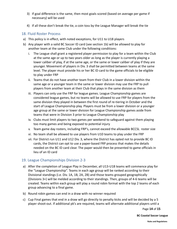- 3) If goal difference is the same, then most goals scored (based on average per game if necessary) will be used
- 4) If all these don't break the tie, a coin toss by the League Manager will break the tie

#### <span id="page-13-0"></span>18. Fluid Roster Process

- a) This policy is in effect, with noted exceptions, for U11 to U18 players
- b) Any player with a valid BC Soccer ID card (see section 1b) will be allowed to play for another team at the same Club under the following conditions:
	- i. The League shall grant a registered player permission to play for a team within the Club at the same age or up to two years older as long as the player is currently playing a lower caliber of play, if at the same age, or the same or lower caliber of play if they are younger. Movement of players in Div. 3 shall be permitted between teams at the same level. The player must provide his or her BC ID card to the game officials to be eligible to play under FRP
	- ii. Teams that do not have another team from their Club in a lower division within the same age or a younger team in the same or lower division may use the FRP to pull players from another team at their Club that plays in the same division as them
	- iii. Players can only use the FRP for league games. League Championship games are considered league games, but no teams will be allowed to use FRP for players from the same division they played in between the first round of re-tiering in October and the start of League Championship play. Players must be from a lower division or a younger age group at the same or lower division for League Championship games aside from teams that were in Division 3 prior to League Championship play
	- iv. Clubs must limit players to two games per weekend to safeguard against them playing too many games and being exposed to potential injury
	- v. Team game day rosters, including FRP's, cannot exceed the allowable BCCSL roster size
	- vi. No team shall be allowed to use players from U10 teams to play under the FRP
	- vii. For District run U11 and U12 Div. 3, where the District has opted not to provide BC ID cards, the District can opt to use a paper-based FRP process that makes the details needed on the BC ID card clear. The paper would then be presented to game officials in lieu of an ID card

#### <span id="page-13-1"></span>19. League Championships Division 2-3

- a) After the completion of League Play in December, all U13-U18 teams will commence play for the "League Championship". Teams in each age group will be ranked according to their Divisional standings (i.e. Div. 1A, 1B, 2A, 2B) and those teams grouped geographically (Divisions 3+) will be melded according to their standings. Then, groups of 4-6 teams will be created. Teams within each group will play a round robin format with the top 2 teams of each group advancing to a final game.
- b) Round robin games can end in a draw with no winner required
- c) Cup Final games that end in a draw will go directly to penalty kicks and will be decided by a 5 player shoot-out. If additional pk's are required, teams will alternate additional players until a

Page **14** of **15**